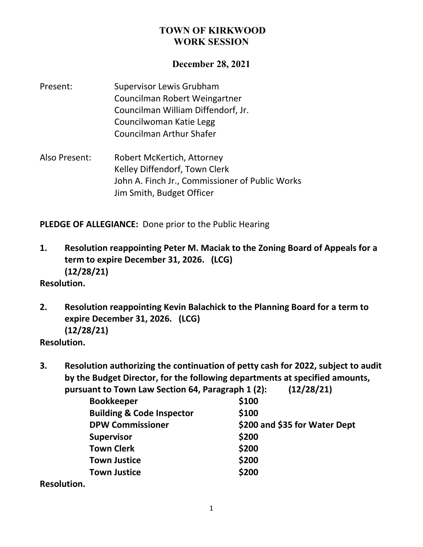#### **December 28, 2021**

- Present: Supervisor Lewis Grubham Councilman Robert Weingartner Councilman William Diffendorf, Jr. Councilwoman Katie Legg Councilman Arthur Shafer
- Also Present: Robert McKertich, Attorney Kelley Diffendorf, Town Clerk John A. Finch Jr., Commissioner of Public Works Jim Smith, Budget Officer

**PLEDGE OF ALLEGIANCE:** Done prior to the Public Hearing

**1. Resolution reappointing Peter M. Maciak to the Zoning Board of Appeals for a term to expire December 31, 2026. (LCG) (12/28/21)**

#### **Resolution.**

**2. Resolution reappointing Kevin Balachick to the Planning Board for a term to expire December 31, 2026. (LCG) (12/28/21)**

**Resolution.**

**3. Resolution authorizing the continuation of petty cash for 2022, subject to audit by the Budget Director, for the following departments at specified amounts, pursuant to Town Law Section 64, Paragraph 1 (2): (12/28/21)**

| <b>Bookkeeper</b>                    | \$100                         |
|--------------------------------------|-------------------------------|
| <b>Building &amp; Code Inspector</b> | \$100                         |
| <b>DPW Commissioner</b>              | \$200 and \$35 for Water Dept |
| <b>Supervisor</b>                    | \$200                         |
| <b>Town Clerk</b>                    | \$200                         |
| <b>Town Justice</b>                  | \$200                         |
| <b>Town Justice</b>                  | \$200                         |
|                                      |                               |

**Resolution.**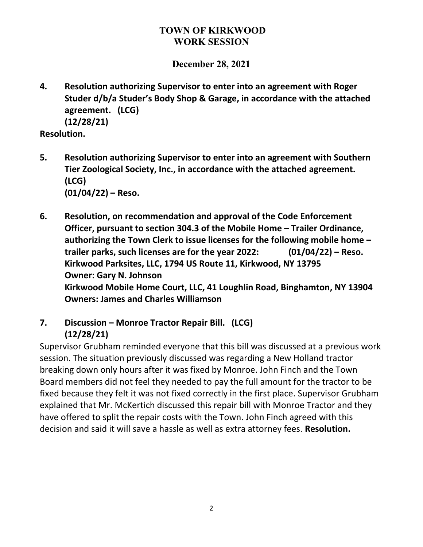**December 28, 2021**

**4. Resolution authorizing Supervisor to enter into an agreement with Roger Studer d/b/a Studer's Body Shop & Garage, in accordance with the attached agreement. (LCG) (12/28/21)**

**Resolution.**

- **5. Resolution authorizing Supervisor to enter into an agreement with Southern Tier Zoological Society, Inc., in accordance with the attached agreement. (LCG) (01/04/22) – Reso.**
- **6. Resolution, on recommendation and approval of the Code Enforcement Officer, pursuant to section 304.3 of the Mobile Home – Trailer Ordinance, authorizing the Town Clerk to issue licenses for the following mobile home – trailer parks, such licenses are for the year 2022: (01/04/22) – Reso. Kirkwood Parksites, LLC, 1794 US Route 11, Kirkwood, NY 13795 Owner: Gary N. Johnson Kirkwood Mobile Home Court, LLC, 41 Loughlin Road, Binghamton, NY 13904 Owners: James and Charles Williamson**
- **7. Discussion – Monroe Tractor Repair Bill. (LCG) (12/28/21)**

Supervisor Grubham reminded everyone that this bill was discussed at a previous work session. The situation previously discussed was regarding a New Holland tractor breaking down only hours after it was fixed by Monroe. John Finch and the Town Board members did not feel they needed to pay the full amount for the tractor to be fixed because they felt it was not fixed correctly in the first place. Supervisor Grubham explained that Mr. McKertich discussed this repair bill with Monroe Tractor and they have offered to split the repair costs with the Town. John Finch agreed with this decision and said it will save a hassle as well as extra attorney fees. **Resolution.**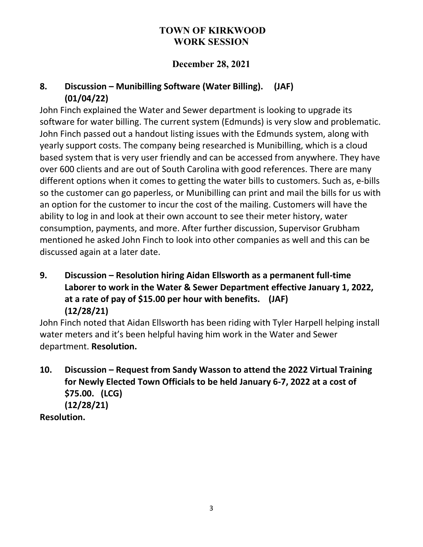## **December 28, 2021**

# **8. Discussion – Munibilling Software (Water Billing). (JAF) (01/04/22)**

John Finch explained the Water and Sewer department is looking to upgrade its software for water billing. The current system (Edmunds) is very slow and problematic. John Finch passed out a handout listing issues with the Edmunds system, along with yearly support costs. The company being researched is Munibilling, which is a cloud based system that is very user friendly and can be accessed from anywhere. They have over 600 clients and are out of South Carolina with good references. There are many different options when it comes to getting the water bills to customers. Such as, e-bills so the customer can go paperless, or Munibilling can print and mail the bills for us with an option for the customer to incur the cost of the mailing. Customers will have the ability to log in and look at their own account to see their meter history, water consumption, payments, and more. After further discussion, Supervisor Grubham mentioned he asked John Finch to look into other companies as well and this can be discussed again at a later date.

**9. Discussion – Resolution hiring Aidan Ellsworth as a permanent full-time Laborer to work in the Water & Sewer Department effective January 1, 2022, at a rate of pay of \$15.00 per hour with benefits. (JAF) (12/28/21)**

John Finch noted that Aidan Ellsworth has been riding with Tyler Harpell helping install water meters and it's been helpful having him work in the Water and Sewer department. **Resolution.**

**10. Discussion – Request from Sandy Wasson to attend the 2022 Virtual Training for Newly Elected Town Officials to be held January 6-7, 2022 at a cost of \$75.00. (LCG) (12/28/21) Resolution.**